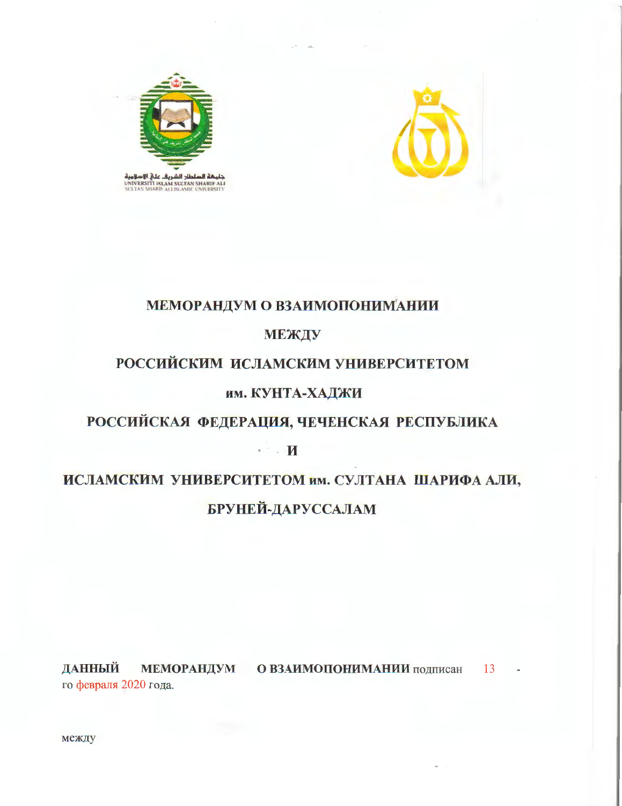



## МЕМОРАНДУМ О ВЗАИМОПОНИМАНИИ

### МЕЖДУ

# РОССИЙСКИМ ИСЛАМСКИМ УНИВЕРСИТЕТОМ

### им. КУНТА-ХАДЖИ

# РОССИЙСКАЯ ФЕДЕРАЦИЯ, ЧЕЧЕНСКАЯ РЕСПУБЛИКА

 $\cdot$   $\cdot$   $\mathbf{H}$ 

# ИСЛАМСКИМ УНИВЕРСИТЕТОМ им. СУЛТАНА ШАРИФА АЛИ, **БРУНЕЙ-ДАРУССАЛАМ**

МЕМОРАНДУМ О ВЗАИМОПОНИМАНИИ подписан ДАННЫЙ 13 го февраля 2020 года.

между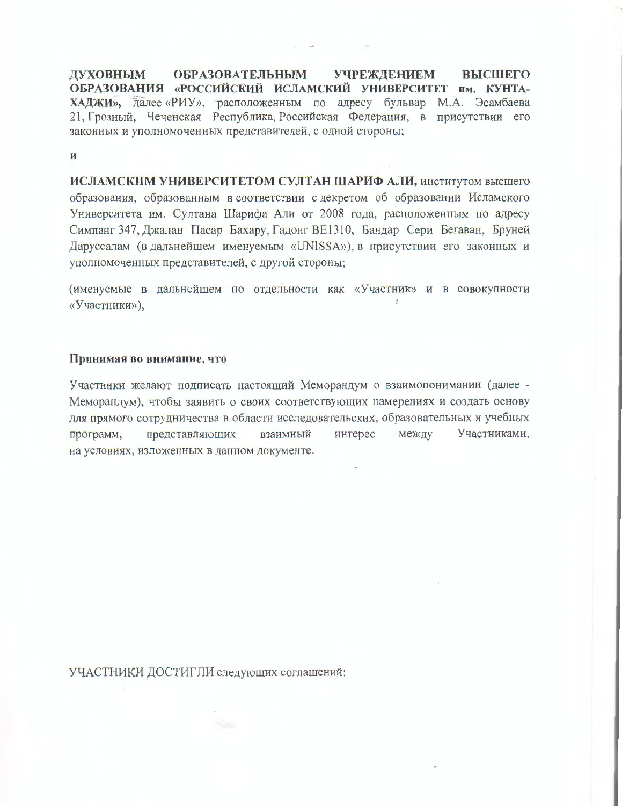**ОБРАЗОВАТЕЛЬНЫМ УЧРЕЖДЕНИЕМ ВЫСШЕГО** ДУХОВНЫМ ОБРАЗОВАНИЯ «РОССИЙСКИЙ ИСЛАМСКИЙ УНИВЕРСИТЕТ им. КУНТА-ХАДЖИ», далее «РИУ», расположенным по адресу бульвар М.А. Эсамбаева 21. Грозный, Чеченская Республика, Российская Федерация, в присутствии его законных и уполномоченных представителей, с одной стороны;

 $\overline{\mathbf{M}}$ 

ИСЛАМСКИМ УНИВЕРСИТЕТОМ СУЛТАН ШАРИФ АЛИ, институтом высшего образования, образованным в соответствии с декретом об образовании Исламского Университета им. Султана Шарифа Али от 2008 года, расположенным по адресу Симпанг 347, Джалан Пасар Бахару, Гадонг ВЕ1310, Бандар Сери Бегаван, Бруней Даруссалам (в дальнейшем именуемым «UNISSA»), в присутствии его законных и уполномоченных представителей, с другой стороны;

(именуемые в дальнейшем по отдельности как «Участник» и в совокупности «Участники»).

#### Принимая во внимание, что

Участники желают подписать настоящий Меморандум о взаимопонимании (далее -Меморандум), чтобы заявить о своих соответствующих намерениях и создать основу для прямого сотрудничества в области исследовательских, образовательных и учебных Участниками, интерес между представляющих взаимный программ, на условиях, изложенных в данном документе.

УЧАСТНИКИ ДОСТИГЛИ следующих соглашений: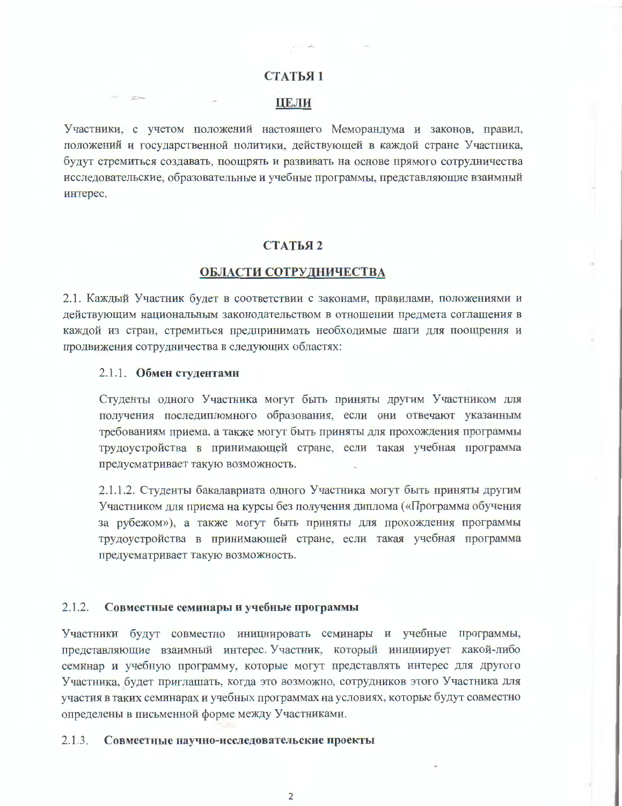#### СТАТЬЯ 1

#### ЦЕЛИ

Участники, с учетом положений настоящего Меморандума и законов, правил, положений и государственной политики, действующей в каждой стране Участника, будут стремиться создавать, поощрять и развивать на основе прямого сотрудничества исследовательские, образовательные и учебные программы, представляющие взаимный интерес.

#### СТАТЬЯ 2

#### ОБЛАСТИ СОТРУДНИЧЕСТВА

2.1. Каждый Участник будет в соответствии с законами, правилами, положениями и действующим национальным законодательством в отношении предмета соглашения в каждой из стран, стремиться предпринимать необходимые шаги для поощрения и продвижения сотрудничества в следующих областях:

#### 2.1.1. Обмен студентами

**STORY** 

Студенты одного Участника могут быть приняты другим Участником для получения последипломного образования, если они отвечают указанным требованиям приема, а также могут быть приняты для прохождения программы трудоустройства в принимающей стране, если такая учебная программа предусматривает такую возможность.

2.1.1.2. Студенты бакалавриата одного Участника могут быть приняты другим Участником для приема на курсы без получения диплома («Программа обучения за рубежом»), а также могут быть приняты для прохождения программы трудоустройства в принимающей стране, если такая учебная программа предусматривает такую возможность.

#### $2.1.2.$ Совместные семинары и учебные программы

Участники будут совместно инициировать семинары и учебные программы, представляющие взаимный интерес. Участник, который инициирует какой-либо семинар и учебную программу, которые могут представлять интерес для другого Участника, будет приглашать, когда это возможно, сотрудников этого Участника для участия в таких семинарах и учебных программах на условиях, которые будут совместно определены в письменной форме между Участниками.

#### $2.1.3.$ Совместные научно-исследовательские проекты

 $\overline{2}$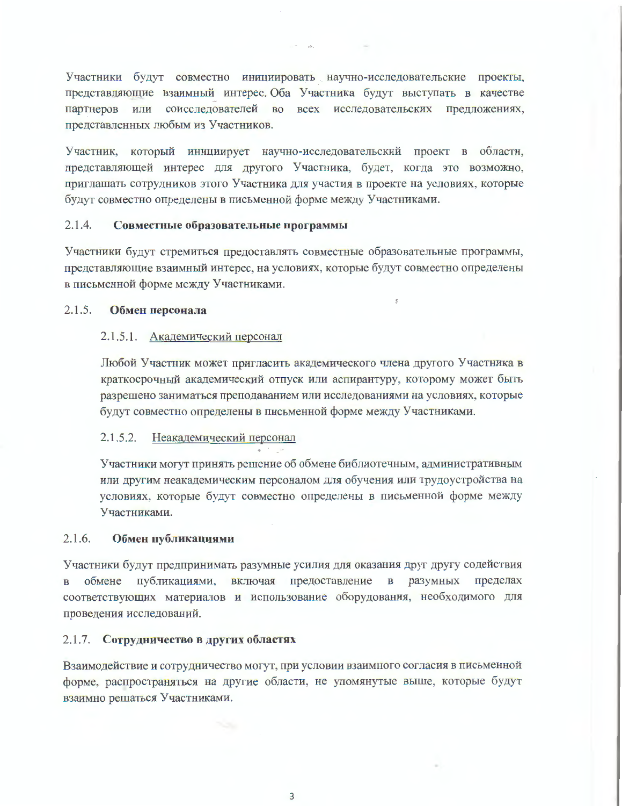Участники будут совместно инициировать научно-исследовательские проекты, представляющие взаимный интерес. Оба Участника будут выступать в качестве партнеров или соисследователей во всех исследовательских предложениях, представленных любым из Участников.

Участник, который инициирует научно-исследовательский проект в области, представляющей интерес для другого Участника, будет, когда это возможно, приглашать сотрудников этого Участника для участия в проекте на условиях, которые будут совместно определены в письменной форме между Участниками.

#### $2.1.4.$ Совместные образовательные программы

Участники будут стремиться предоставлять совместные образовательные программы, представляющие взаимный интерес, на условиях, которые будут совместно определены в письменной форме между Участниками.

#### $2.1.5.$ Обмен персонала

#### 2.1.5.1. Академический персонал

Любой Участник может пригласить академического члена другого Участника в краткосрочный академический отпуск или аспирантуру, которому может быть разрешено заниматься преподаванием или исследованиями на условиях, которые будут совместно определены в письменной форме между Участниками.

#### $2.1.5.2.$ Неакадемический персонал

Участники могут принять решение об обмене библиотечным, административным или другим неакадемическим персоналом для обучения или трудоустройства на условиях, которые будут совместно определены в письменной форме между Участниками.

#### $2.1.6.$ Обмен публикациями

Участники будут предпринимать разумные усилия для оказания друг другу содействия в обмене публикациями, включая предоставление  $\mathbf{B}$ разумных пределах соответствующих материалов и использование оборудования, необходимого для проведения исследований.

#### 2.1.7. Сотрудничество в других областях

Взаимодействие и сотрудничество могут, при условии взаимного согласия в письменной форме, распространяться на другие области, не упомянутые выше, которые будут взаимно решаться Участниками.

 $\overline{3}$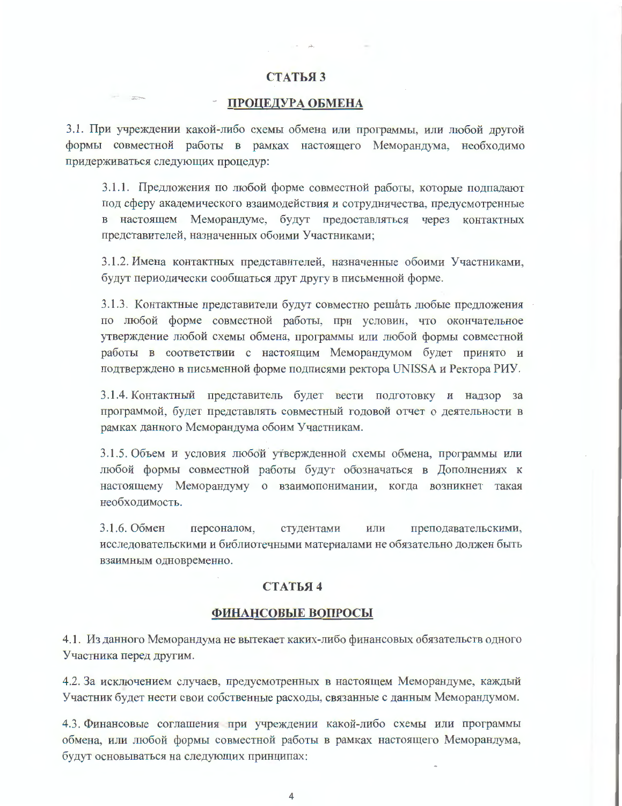#### СТАТЬЯЗ

#### ПРОЦЕДУРА ОБМЕНА

 $\sim$ 

3.1. При учреждении какой-либо схемы обмена или программы, или любой другой формы совместной работы в рамках настоящего Меморандума, необходимо придерживаться следующих процедур:

3.1.1. Предложения по любой форме совместной работы, которые подпадают под сферу академического взаимодействия и сотрудничества, предусмотренные в настоящем Меморандуме, будут предоставляться через контактных представителей, назначенных обоими Участниками;

3.1.2. Имена контактных представителей, назначенные обоими Участниками, будут периодически сообщаться друг другу в письменной форме.

3.1.3. Контактные представители будут совместно решать любые предложения по любой форме совместной работы, при условии, что окончательное утверждение любой схемы обмена, программы или любой формы совместной работы в соответствии с настоящим Меморандумом будет принято и подтверждено в письменной форме подписями ректора UNISSA и Ректора РИУ.

3.1.4. Контактный представитель будет вести подготовку и надзор за программой, будет представлять совместный годовой отчет о деятельности в рамках данного Меморандума обоим Участникам.

3.1.5. Объем и условия любой утвержденной схемы обмена, программы или любой формы совместной работы будут обозначаться в Дополнениях к настоящему Меморандуму о взаимопонимании, когда возникнет такая необходимость.

3.1.6. Обмен персоналом, преподавательскими, студентами ИЛИ исследовательскими и библиотечными материалами не обязательно должен быть взаимным одновременно.

#### СТАТЬЯ 4

#### ФИНАНСОВЫЕ ВОПРОСЫ

4.1. Из данного Меморандума не вытекает каких-либо финансовых обязательств одного Участника перед другим.

4.2. За исключением случаев, предусмотренных в настоящем Меморандуме, каждый Участник будет нести свои собственные расходы, связанные с данным Меморандумом.

4.3. Финансовые соглашения при учреждении какой-либо схемы или программы обмена, или любой формы совместной работы в рамках настоящего Меморандума, будут основываться на следующих принципах:

 $\overline{4}$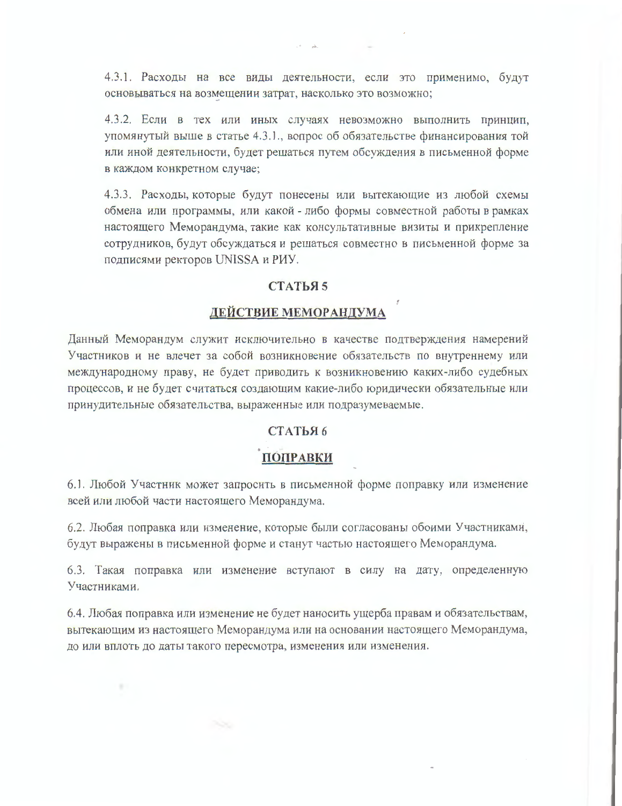4.3.1. Расходы на все виды деятельности, если это применимо, будут основываться на возмещении затрат, насколько это возможно;

4.3.2. Если в тех или иных случаях невозможно выполнить принцип, упомянутый выше в статье 4.3.1., вопрос об обязательстве финансирования той или иной деятельности, будет решаться путем обсуждения в письменной форме в каждом конкретном случае;

4.3.3. Расходы, которые будут понесены или вытекающие из любой схемы обмена или программы, или какой - либо формы совместной работы в рамках настоящего Меморандума, такие как консультативные визиты и прикрепление сотрудников, будут обсуждаться и решаться совместно в письменной форме за подписями ректоров UNISSA и РИУ.

### СТАТЬЯ 5

### **ДЕЙСТВИЕ МЕМОРАНДУМА**

Данный Меморандум служит исключительно в качестве подтверждения намерений Участников и не влечет за собой возникновение обязательств по внутреннему или международному праву, не будет приводить к возникновению каких-либо судебных процессов, и не будет считаться создающим какие-либо юридически обязательные или принудительные обязательства, выраженные или подразумеваемые.

#### СТАТЬЯ 6

### ПОПРАВКИ

6.1. Любой Участник может запросить в письменной форме поправку или изменение всей или любой части настоящего Меморандума.

6.2. Любая поправка или изменение, которые были согласованы обоими Участниками, будут выражены в письменной форме и станут частью настоящего Меморандума.

6.3. Такая поправка или изменение вступают в силу на дату, определенную Участниками.

6.4. Любая поправка или изменение не будет наносить ущерба правам и обязательствам, вытекающим из настоящего Меморандума или на основании настоящего Меморандума, до или вплоть до даты такого пересмотра, изменения или изменения.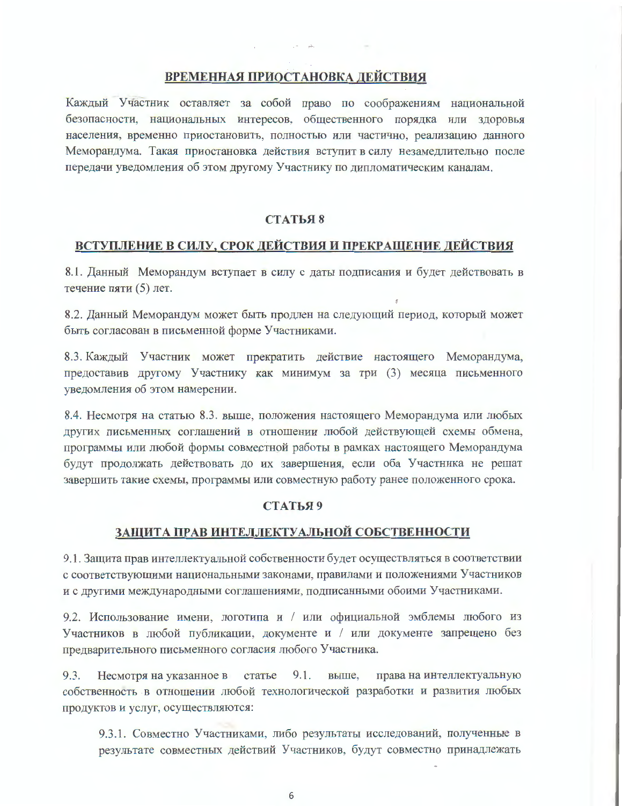### **ВРЕМЕННАЯ ПРИОСТАНОВКА ДЕЙСТВИЯ**

Каждый Участник оставляет за собой право по соображениям национальной безопасности, национальных интересов, общественного порядка или здоровья населения, временно приостановить, полностью или частично, реализацию данного Меморандума. Такая приостановка действия вступит в силу незамедлительно после передачи уведомления об этом другому Участнику по дипломатическим каналам.

#### СТАТЬЯ 8

#### ВСТУПЛЕНИЕ В СИЛУ, СРОК ДЕЙСТВИЯ И ПРЕКРАЩЕНИЕ ДЕЙСТВИЯ

8.1. Данный Меморандум вступает в силу с даты подписания и будет действовать в течение пяти (5) лет.

8.2. Данный Меморандум может быть продлен на следующий период, который может быть согласован в письменной форме Участниками.

8.3. Каждый Участник может прекратить действие настоящего Меморандума, предоставив другому Участнику как минимум за три (3) месяца письменного уведомления об этом намерении.

8.4. Несмотря на статью 8.3. выше, положения настоящего Меморандума или любых других письменных соглашений в отношении любой действующей схемы обмена, программы или любой формы совместной работы в рамках настоящего Меморандума будут продолжать действовать до их завершения, если оба Участника не решат завершить такие схемы, программы или совместную работу ранее положенного срока.

#### СТАТЬЯ 9

#### ЗАЩИТА ПРАВ ИНТЕЛЛЕКТУАЛЬНОЙ СОБСТВЕННОСТИ

9.1. Защита прав интеллектуальной собственности будет осуществляться в соответствии с соответствующими национальными законами, правилами и положениями Участников и с другими международными соглашениями, подписанными обоими Участниками.

9.2. Использование имени, логотипа и / или официальной эмблемы любого из Участников в любой публикации, документе и / или документе запрещено без предварительного письменного согласия любого Участника.

9.3. Несмотря на указанное в статье 9.1. выше, права на интеллектуальную собственность в отношении любой технологической разработки и развития любых продуктов и услуг, осуществляются:

9.3.1. Совместно Участниками, либо результаты исследований, полученные в результате совместных действий Участников, будут совместно принадлежать

6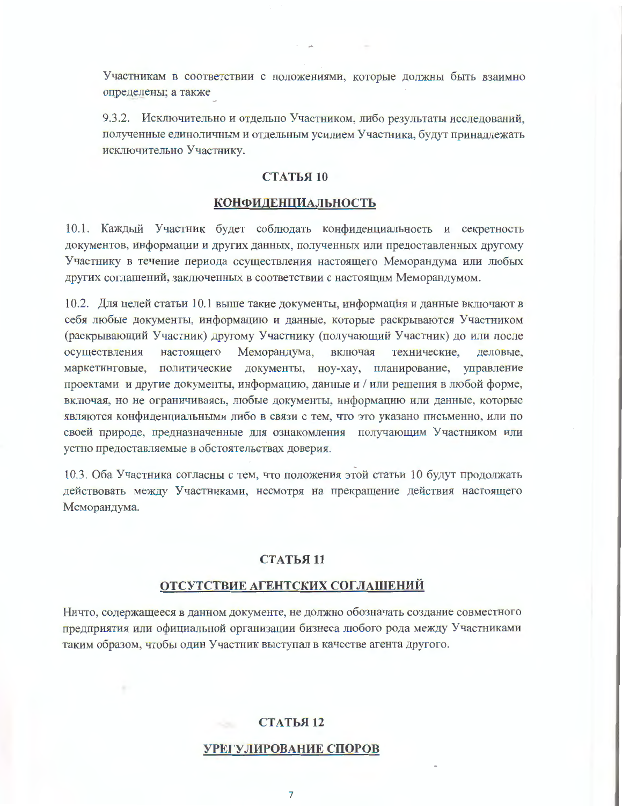Участникам в соответствии с положениями, которые должны быть взаимно определены; а также

9.3.2. Исключительно и отдельно Участником, либо результаты исследований, полученные единоличным и отдельным усилием Участника, будут принадлежать исключительно Участнику.

#### СТАТЬЯ 10

#### **КОНФИДЕНЦИАЛЬНОСТЬ**

10.1. Каждый Участник будет соблюдать конфиденциальность и секретность документов, информации и других данных, полученных или предоставленных другому Участнику в течение периода осуществления настоящего Меморандума или любых других соглашений, заключенных в соответствии с настоящим Меморандумом.

10.2. Для целей статьи 10.1 выше такие документы, информация и данные включают в себя любые документы, информацию и данные, которые раскрываются Участником (раскрывающий Участник) другому Участнику (получающий Участник) до или после осуществления настоящего Меморандума, включая технические, деловые. маркетинговые, политические документы, ноу-хау, планирование, управление проектами и другие документы, информацию, данные и / или решения в любой форме, включая, но не ограничиваясь, любые документы, информацию или данные, которые являются конфиденциальными либо в связи с тем, что это указано письменно, или по своей природе, предназначенные для ознакомления получающим Участником или устно предоставляемые в обстоятельствах доверия.

10.3. Оба Участника согласны с тем, что положения этой статьи 10 будут продолжать действовать между Участниками, несмотря на прекращение действия настоящего Меморандума.

#### **СТАТЬЯ 11**

#### ОТСУТСТВИЕ АГЕНТСКИХ СОГЛАШЕНИЙ

Ничто, содержащееся в данном документе, не должно обозначать создание совместного предприятия или официальной организации бизнеса любого рода между Участниками таким образом, чтобы один Участник выступал в качестве агента другого.

#### СТАТЬЯ 12

#### УРЕГУЛИРОВАНИЕ СПОРОВ

 $\overline{7}$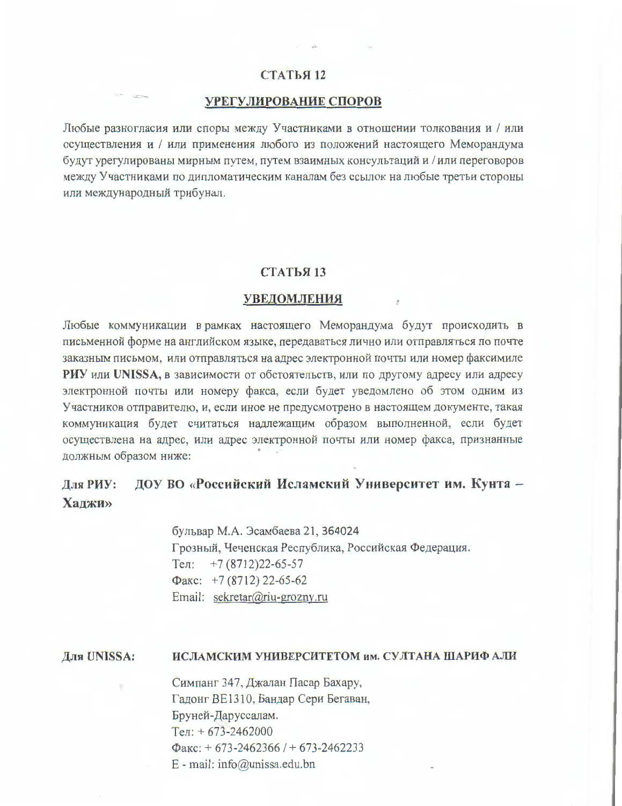### СТАТЬЯ 12

#### УРЕГУЛИРОВАНИЕ СПОРОВ

Любые разногласия или споры между Участниками в отношении толкования и / или осуществления и / или применения любого из положений настоящего Меморандума будут урегулированы мирным путем, путем взаимных консультаций и / или переговоров между Участниками по дипломатическим каналам без ссылок на любые третьи стороны или международный трибунал.

#### СТАТЬЯ 13

#### **УВЕДОМЛЕНИЯ**

Любые коммуникации в рамках настоящего Меморандума будут происходить в письменной форме на английском языке, передаваться лично или отправляться по почте заказным письмом, или отправляться на адрес электронной почты или номер факсимиле PHY или UNISSA, в зависимости от обстоятельств, или по другому адресу или адресу электронной почты или номеру факса, если будет уведомлено об этом одним из Участников отправителю, и, если иное не предусмотрено в настоящем документе, такая коммуникация будет считаться надлежащим образом выполненной, если будет осуществлена на адрес, или адрес электронной почты или номер факса, признанные должным образом ниже:

#### ДОУ ВО «Российский Исламский Университет им. Кунта -Лля РИУ: Халжи»

бульвар М.А. Эсамбаева 21, 364024 Грозный, Чеченская Республика, Российская Федерация. Тел:  $+7(8712)22-65-57$  $\Phi$ акс: +7 (8712) 22-65-62 Email: sekretar@riu-grozny.ru

#### ИСЛАМСКИМ УНИВЕРСИТЕТОМ им. СУЛТАНА ШАРИФ АЛИ Лля UNISSA:

Симпанг 347, Джалан Пасар Бахару, Гадонг ВЕ1310, Бандар Сери Бегаван, Бруней-Даруссалам.  $Ten: +673-2462000$  $\Phi$ акс: + 673-2462366 / + 673-2462233 E - mail: info@unissa.edu.bn